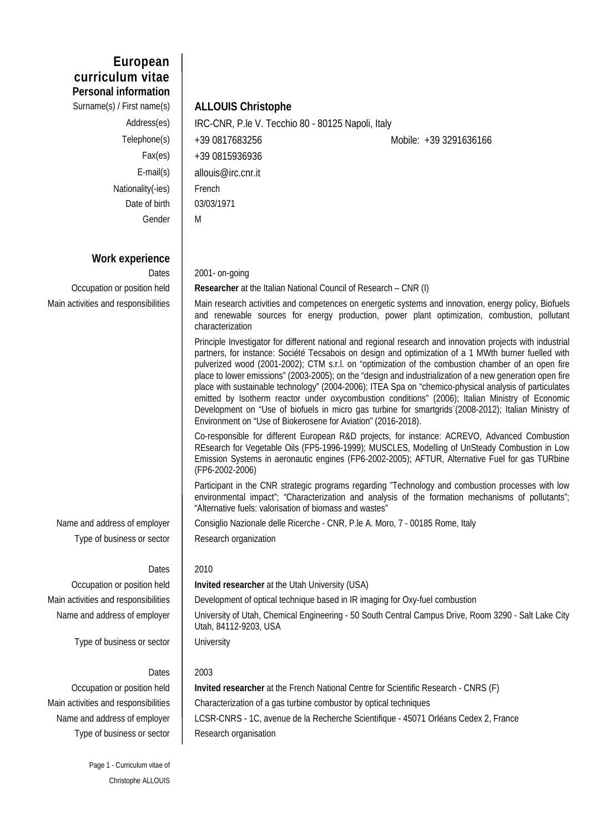**European curriculum vitae Personal information**

Surname(s) / First name(s) **ALLOUIS Christophe** Nationality(-ies) French Date of birth | 03/03/1971 Gender M

# **Work experience**

Type of business or sector | Research organization

Occupation or position held **Invited researcher** at the Utah University (USA)

Main activities and responsibilities **Development of optical technique based in IR imaging for Oxy-fuel combustion** 

Name and address of employer | University of Utah, Chemical Engineering - 50 South Central Campus Drive, Room 3290 - Salt Lake City Utah, 84112-9203, USA

Type of business or sector | University

### Dates  $\vert$  2003

Type of business or sector | Research organisation

Occupation or position held **Invited researcher** at the French National Centre for Scientific Research - CNRS (F) Main activities and responsibilities **Characterization of a gas turbine combustor by optical techniques** Name and address of employer | LCSR-CNRS - 1C, avenue de la Recherche Scientifique - 45071 Orléans Cedex 2, France

Page 1 - Curriculum vitae of Christophe ALLOUIS

Address(es) | IRC-CNR, P.le V. Tecchio 80 - 80125 Napoli, Italy Telephone(s) | +39 0817683256 Mobile: +39 3291636166 Fax(es)  $+390815936936$ E-mail(s) allouis@irc.cnr.it

Dates 2001- on-going

Occupation or position held **Researcher** at the Italian National Council of Research – CNR (I)

Main activities and responsibilities **Main research activities and competences on energetic systems and innovation**, energy policy, Biofuels and renewable sources for energy production, power plant optimization, combustion, pollutant characterization

> Principle Investigator for different national and regional research and innovation projects with industrial partners, for instance: Société Tecsabois on design and optimization of a 1 MWth burner fuelled with pulverized wood (2001-2002); CTM s.r.l. on "optimization of the combustion chamber of an open fire place to lower emissions" (2003-2005); on the "design and industrialization of a new generation open fire place with sustainable technology" (2004-2006); ITEA Spa on "chemico-physical analysis of particulates emitted by Isotherm reactor under oxycombustion conditions" (2006); Italian Ministry of Economic Development on "Use of biofuels in micro gas turbine for smartgrids¨(2008-2012); Italian Ministry of Environment on "Use of Biokerosene for Aviation" (2016-2018).

> Co-responsible for different European R&D projects, for instance: ACREVO, Advanced Combustion REsearch for Vegetable Oils (FP5-1996-1999); MUSCLES, Modelling of UnSteady Combustion in Low Emission Systems in aeronautic engines (FP6-2002-2005); AFTUR, Alternative Fuel for gas TURbine (FP6-2002-2006)

> Participant in the CNR strategic programs regarding "Technology and combustion processes with low environmental impact"; "Characterization and analysis of the formation mechanisms of pollutants"; "Alternative fuels: valorisation of biomass and wastes"

Name and address of employer | Consiglio Nazionale delle Ricerche - CNR, P.le A. Moro, 7 - 00185 Rome, Italy

## Dates  $\vert$  2010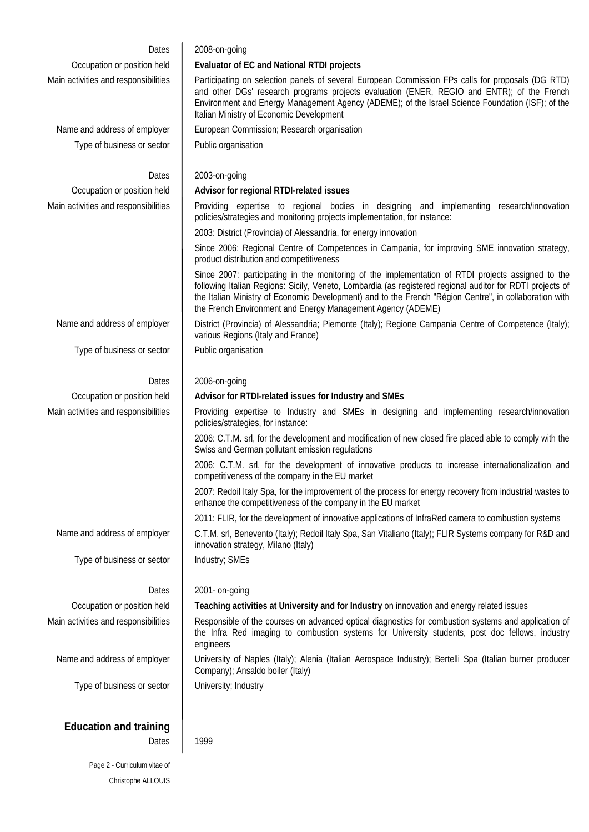| Dates                                  | 2008-on-going                                                                                                                                                                                                                                                                                                                                                                            |  |  |
|----------------------------------------|------------------------------------------------------------------------------------------------------------------------------------------------------------------------------------------------------------------------------------------------------------------------------------------------------------------------------------------------------------------------------------------|--|--|
| Occupation or position held            | <b>Evaluator of EC and National RTDI projects</b>                                                                                                                                                                                                                                                                                                                                        |  |  |
| Main activities and responsibilities   | Participating on selection panels of several European Commission FPs calls for proposals (DG RTD)<br>and other DGs' research programs projects evaluation (ENER, REGIO and ENTR); of the French<br>Environment and Energy Management Agency (ADEME); of the Israel Science Foundation (ISF); of the<br>Italian Ministry of Economic Development                                          |  |  |
| Name and address of employer           | European Commission; Research organisation                                                                                                                                                                                                                                                                                                                                               |  |  |
| Type of business or sector             | Public organisation                                                                                                                                                                                                                                                                                                                                                                      |  |  |
| Dates                                  | 2003-on-going                                                                                                                                                                                                                                                                                                                                                                            |  |  |
| Occupation or position held            | Advisor for regional RTDI-related issues                                                                                                                                                                                                                                                                                                                                                 |  |  |
| Main activities and responsibilities   | Providing expertise to regional bodies in designing and implementing research/innovation<br>policies/strategies and monitoring projects implementation, for instance:                                                                                                                                                                                                                    |  |  |
|                                        | 2003: District (Provincia) of Alessandria, for energy innovation                                                                                                                                                                                                                                                                                                                         |  |  |
|                                        | Since 2006: Regional Centre of Competences in Campania, for improving SME innovation strategy,<br>product distribution and competitiveness                                                                                                                                                                                                                                               |  |  |
|                                        | Since 2007: participating in the monitoring of the implementation of RTDI projects assigned to the<br>following Italian Regions: Sicily, Veneto, Lombardia (as registered regional auditor for RDTI projects of<br>the Italian Ministry of Economic Development) and to the French "Région Centre", in collaboration with<br>the French Environment and Energy Management Agency (ADEME) |  |  |
| Name and address of employer           | District (Provincia) of Alessandria; Piemonte (Italy); Regione Campania Centre of Competence (Italy);<br>various Regions (Italy and France)                                                                                                                                                                                                                                              |  |  |
| Type of business or sector             | Public organisation                                                                                                                                                                                                                                                                                                                                                                      |  |  |
| Dates                                  | 2006-on-going                                                                                                                                                                                                                                                                                                                                                                            |  |  |
| Occupation or position held            | Advisor for RTDI-related issues for Industry and SMEs                                                                                                                                                                                                                                                                                                                                    |  |  |
| Main activities and responsibilities   | Providing expertise to Industry and SMEs in designing and implementing research/innovation<br>policies/strategies, for instance:                                                                                                                                                                                                                                                         |  |  |
|                                        | 2006: C.T.M. srl, for the development and modification of new closed fire placed able to comply with the<br>Swiss and German pollutant emission regulations                                                                                                                                                                                                                              |  |  |
|                                        | 2006: C.T.M. srl, for the development of innovative products to increase internationalization and<br>competitiveness of the company in the EU market                                                                                                                                                                                                                                     |  |  |
|                                        | 2007: Redoil Italy Spa, for the improvement of the process for energy recovery from industrial wastes to<br>enhance the competitiveness of the company in the EU market                                                                                                                                                                                                                  |  |  |
|                                        | 2011: FLIR, for the development of innovative applications of InfraRed camera to combustion systems                                                                                                                                                                                                                                                                                      |  |  |
| Name and address of employer           | C.T.M. srl, Benevento (Italy); Redoil Italy Spa, San Vitaliano (Italy); FLIR Systems company for R&D and<br>innovation strategy, Milano (Italy)                                                                                                                                                                                                                                          |  |  |
| Type of business or sector             | Industry; SMEs                                                                                                                                                                                                                                                                                                                                                                           |  |  |
| Dates                                  | 2001- on-going                                                                                                                                                                                                                                                                                                                                                                           |  |  |
| Occupation or position held            | Teaching activities at University and for Industry on innovation and energy related issues                                                                                                                                                                                                                                                                                               |  |  |
| Main activities and responsibilities   | Responsible of the courses on advanced optical diagnostics for combustion systems and application of<br>the Infra Red imaging to combustion systems for University students, post doc fellows, industry<br>engineers                                                                                                                                                                     |  |  |
| Name and address of employer           | University of Naples (Italy); Alenia (Italian Aerospace Industry); Bertelli Spa (Italian burner producer<br>Company); Ansaldo boiler (Italy)                                                                                                                                                                                                                                             |  |  |
| Type of business or sector             | University; Industry                                                                                                                                                                                                                                                                                                                                                                     |  |  |
| <b>Education and training</b><br>Dates | 1999                                                                                                                                                                                                                                                                                                                                                                                     |  |  |
| Page 2 - Curriculum vitae of           |                                                                                                                                                                                                                                                                                                                                                                                          |  |  |

Christophe ALLOUIS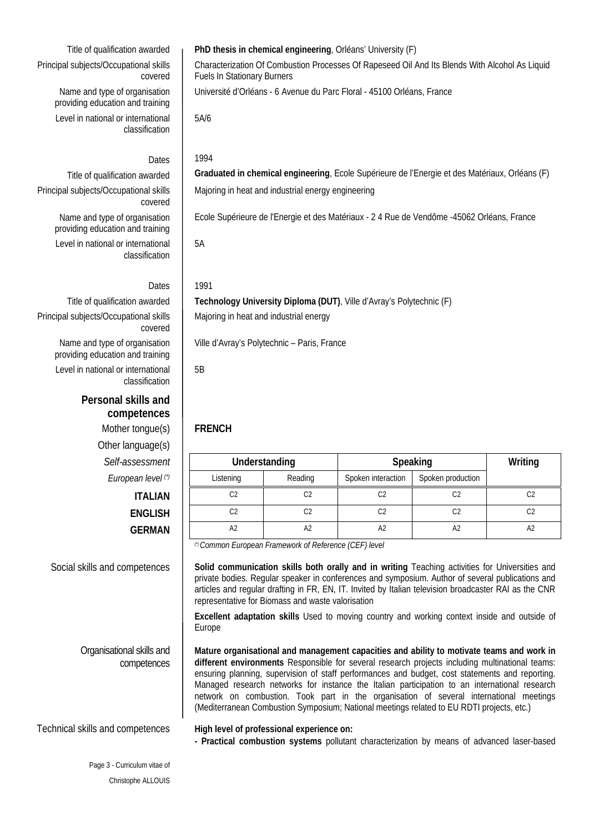Principal subjects/Occupational skills covered Name and type of organisation

providing education and training Level in national or international classification

Name and type of organisation providing education and training

Level in national or international

Principal subjects/Occupational skills

classification

covered

### Dates 1994

Title of qualification awarded **Graduated in chemical engineering**, Ecole Supérieure de l'Energie et des Matériaux, Orléans (F) Principal subjects/Occupational skills covered Majoring in heat and industrial energy engineering

Ecole Supérieure de l'Energie et des Matériaux - 2 4 Rue de Vendôme -45062 Orléans, France

5A

### Dates 1991

Title of qualification awarded **Technology University Diploma (DUT)**, Ville d'Avray's Polytechnic (F) Majoring in heat and industrial energy

Ville d'Avray's Polytechnic – Paris, France

5B

| ssessment      | Understanding |                | Speaking           |                   | Writing        |
|----------------|---------------|----------------|--------------------|-------------------|----------------|
| ean level (*)  | Listening     | Reading        | Spoken interaction | Spoken production |                |
| <b>ITALIAN</b> | C2            | C <sub>2</sub> | C <sub>2</sub>     | C <sub>2</sub>    | C <sub>2</sub> |
| <b>ENGLISH</b> | C2            | C2             | C <sub>2</sub>     | C2                | C <sub>2</sub> |
| <b>GERMAN</b>  | A2            | A <sup>2</sup> | A <sub>2</sub>     | A <sub>2</sub>    | A <sub>2</sub> |

*(\*) Common European Framework of Reference (CEF) level*

Social skills and competences | Solid communication skills both orally and in writing Teaching activities for Universities and private bodies. Regular speaker in conferences and symposium. Author of several publications and articles and regular drafting in FR, EN, IT. Invited by Italian television broadcaster RAI as the CNR representative for Biomass and waste valorisation

> **Excellent adaptation skills** Used to moving country and working context inside and outside of Europe

> **Mature organisational and management capacities and ability to motivate teams and work in different environments** Responsible for several research projects including multinational teams: ensuring planning, supervision of staff performances and budget, cost statements and reporting. Managed research networks for instance the Italian participation to an international research network on combustion. Took part in the organisation of several international meetings (Mediterranean Combustion Symposium; National meetings related to EU RDTI projects, etc.)

### Technical skills and competences **High level of professional experience on:**

**- Practical combustion systems** pollutant characterization by means of advanced laser-based

Name and type of organisation providing education and training Level in national or international classification

## **Personal skills and competences** Mother tongue(s) **FRENCH**

Other language(s)  $Self-assessment$ *European level* (\*)

Organisational skills and competences

### Title of qualification awarded **PhD thesis in chemical engineering**, Orléans' University (F)

Characterization Of Combustion Processes Of Rapeseed Oil And Its Blends With Alcohol As Liquid Fuels In Stationary Burners Université d'Orléans - 6 Avenue du Parc Floral - 45100 Orléans, France 5A/6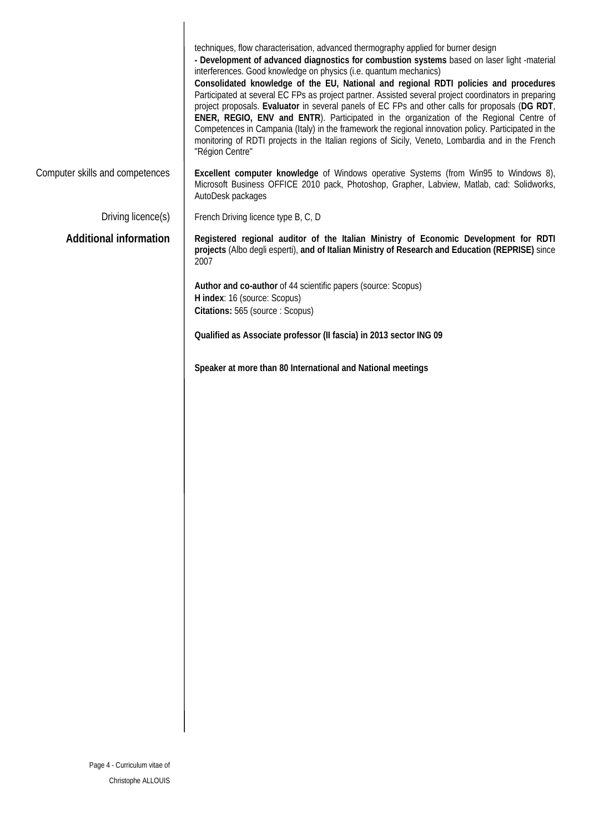|                                 | techniques, flow characterisation, advanced thermography applied for burner design<br>- Development of advanced diagnostics for combustion systems based on laser light -material<br>interferences. Good knowledge on physics (i.e. quantum mechanics)<br>Consolidated knowledge of the EU, National and regional RDTI policies and procedures<br>Participated at several EC FPs as project partner. Assisted several project coordinators in preparing<br>project proposals. Evaluator in several panels of EC FPs and other calls for proposals (DG RDT,<br>ENER, REGIO, ENV and ENTR). Participated in the organization of the Regional Centre of<br>Competences in Campania (Italy) in the framework the regional innovation policy. Participated in the<br>monitoring of RDTI projects in the Italian regions of Sicily, Veneto, Lombardia and in the French<br>"Région Centre" |
|---------------------------------|--------------------------------------------------------------------------------------------------------------------------------------------------------------------------------------------------------------------------------------------------------------------------------------------------------------------------------------------------------------------------------------------------------------------------------------------------------------------------------------------------------------------------------------------------------------------------------------------------------------------------------------------------------------------------------------------------------------------------------------------------------------------------------------------------------------------------------------------------------------------------------------|
| Computer skills and competences | Excellent computer knowledge of Windows operative Systems (from Win95 to Windows 8),<br>Microsoft Business OFFICE 2010 pack, Photoshop, Grapher, Labview, Matlab, cad: Solidworks,<br>AutoDesk packages                                                                                                                                                                                                                                                                                                                                                                                                                                                                                                                                                                                                                                                                              |
| Driving licence(s)              | French Driving licence type B, C, D                                                                                                                                                                                                                                                                                                                                                                                                                                                                                                                                                                                                                                                                                                                                                                                                                                                  |
| <b>Additional information</b>   | Registered regional auditor of the Italian Ministry of Economic Development for RDTI<br>projects (Albo degli esperti), and of Italian Ministry of Research and Education (REPRISE) since<br>2007                                                                                                                                                                                                                                                                                                                                                                                                                                                                                                                                                                                                                                                                                     |
|                                 | Author and co-author of 44 scientific papers (source: Scopus)<br>H index: 16 (source: Scopus)<br>Citations: 565 (source : Scopus)                                                                                                                                                                                                                                                                                                                                                                                                                                                                                                                                                                                                                                                                                                                                                    |
|                                 | Qualified as Associate professor (Il fascia) in 2013 sector ING 09                                                                                                                                                                                                                                                                                                                                                                                                                                                                                                                                                                                                                                                                                                                                                                                                                   |
|                                 | Speaker at more than 80 International and National meetings                                                                                                                                                                                                                                                                                                                                                                                                                                                                                                                                                                                                                                                                                                                                                                                                                          |
|                                 |                                                                                                                                                                                                                                                                                                                                                                                                                                                                                                                                                                                                                                                                                                                                                                                                                                                                                      |
|                                 |                                                                                                                                                                                                                                                                                                                                                                                                                                                                                                                                                                                                                                                                                                                                                                                                                                                                                      |
|                                 |                                                                                                                                                                                                                                                                                                                                                                                                                                                                                                                                                                                                                                                                                                                                                                                                                                                                                      |
|                                 |                                                                                                                                                                                                                                                                                                                                                                                                                                                                                                                                                                                                                                                                                                                                                                                                                                                                                      |
|                                 |                                                                                                                                                                                                                                                                                                                                                                                                                                                                                                                                                                                                                                                                                                                                                                                                                                                                                      |
|                                 |                                                                                                                                                                                                                                                                                                                                                                                                                                                                                                                                                                                                                                                                                                                                                                                                                                                                                      |
|                                 |                                                                                                                                                                                                                                                                                                                                                                                                                                                                                                                                                                                                                                                                                                                                                                                                                                                                                      |
|                                 |                                                                                                                                                                                                                                                                                                                                                                                                                                                                                                                                                                                                                                                                                                                                                                                                                                                                                      |
|                                 |                                                                                                                                                                                                                                                                                                                                                                                                                                                                                                                                                                                                                                                                                                                                                                                                                                                                                      |
|                                 |                                                                                                                                                                                                                                                                                                                                                                                                                                                                                                                                                                                                                                                                                                                                                                                                                                                                                      |
|                                 |                                                                                                                                                                                                                                                                                                                                                                                                                                                                                                                                                                                                                                                                                                                                                                                                                                                                                      |
|                                 |                                                                                                                                                                                                                                                                                                                                                                                                                                                                                                                                                                                                                                                                                                                                                                                                                                                                                      |
|                                 |                                                                                                                                                                                                                                                                                                                                                                                                                                                                                                                                                                                                                                                                                                                                                                                                                                                                                      |
|                                 |                                                                                                                                                                                                                                                                                                                                                                                                                                                                                                                                                                                                                                                                                                                                                                                                                                                                                      |
|                                 |                                                                                                                                                                                                                                                                                                                                                                                                                                                                                                                                                                                                                                                                                                                                                                                                                                                                                      |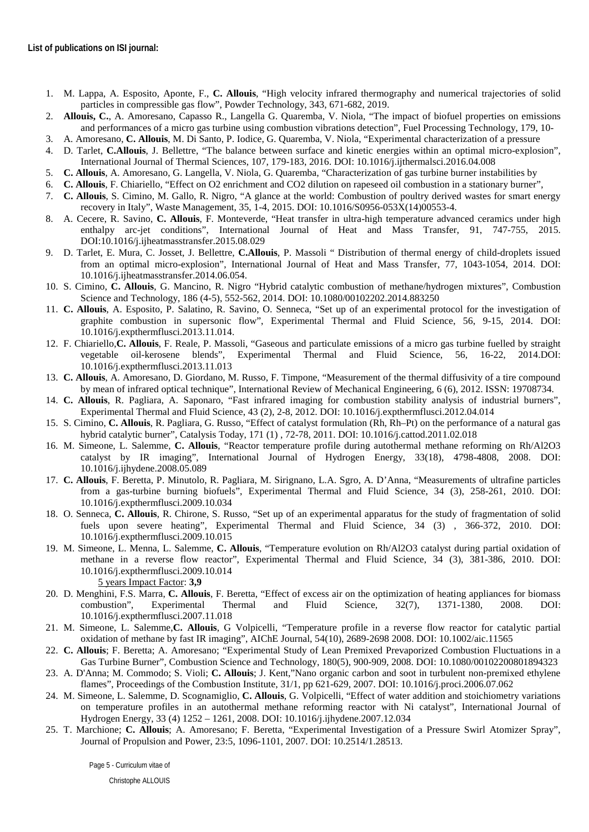- 1. M. Lappa, A. Esposito, Aponte, F., **C. Allouis**, "High velocity infrared thermography and numerical trajectories of solid particles in compressible gas flow", Powder Technology, 343, 671-682, 2019.
- 2. **Allouis, C.**, A. Amoresano, Capasso R., Langella G. Quaremba, V. Niola, "The impact of biofuel properties on emissions and performances of a micro gas turbine using combustion vibrations detection", Fuel Processing Technology, 179, 10-
- 3. A. Amoresano, **C. Allouis**, M. Di Santo, P. Iodice, G. Quaremba, V. Niola, "Experimental characterization of a pressure
- 4. D. Tarlet, **C.Allouis**, J. Bellettre, "The balance between surface and kinetic energies within an optimal micro-explosion", International Journal of Thermal Sciences, 107, 179-183, 2016. DOI: 10.1016/j.ijthermalsci.2016.04.008
- 5. **C. Allouis**, A. Amoresano, G. Langella, V. Niola, G. Quaremba, "Characterization of gas turbine burner instabilities by
- 6. **C. Allouis**, F. Chiariello, "Effect on O2 enrichment and CO2 dilution on rapeseed oil combustion in a stationary burner",
- 7. **C. Allouis**, S. Cimino, M. Gallo, R. Nigro, "A glance at the world: Combustion of poultry derived wastes for smart energy recovery in Italy", Waste Management, 35, 1-4, 2015. DOI: 10.1016/S0956-053X(14)00553-4.
- 8. A. Cecere, R. Savino, **C. Allouis**, F. Monteverde, "Heat transfer in ultra-high temperature advanced ceramics under high enthalpy arc-jet conditions", International Journal of Heat and Mass Transfer, 91, 747-755, 2015. DOI:10.1016/j.ijheatmasstransfer.2015.08.029
- 9. D. Tarlet, E. Mura, C. Josset, J. Bellettre, **C.Allouis**, P. Massoli " Distribution of thermal energy of child-droplets issued from an optimal micro-explosion", International Journal of Heat and Mass Transfer, 77, 1043-1054, 2014. DOI: 10.1016/j.ijheatmasstransfer.2014.06.054.
- 10. S. Cimino, **C. Allouis**, G. Mancino, R. Nigro "Hybrid catalytic combustion of methane/hydrogen mixtures", Combustion Science and Technology, 186 (4-5), 552-562, 2014. DOI: 10.1080/00102202.2014.883250
- 11. **C. Allouis**, A. Esposito, P. Salatino, R. Savino, O. Senneca, "Set up of an experimental protocol for the investigation of graphite combustion in supersonic flow", Experimental Thermal and Fluid Science, 56, 9-15, 2014. DOI: 10.1016/j.expthermflusci.2013.11.014.
- 12. F. Chiariello,**C. Allouis**, F. Reale, P. Massoli, "Gaseous and particulate emissions of a micro gas turbine fuelled by straight vegetable oil-kerosene blends", Experimental Thermal and Fluid Science, 56, 16-22, 2014.DOI: 10.1016/j.expthermflusci.2013.11.013
- 13. **C. Allouis**, A. Amoresano, D. Giordano, M. Russo, F. Timpone, "Measurement of the thermal diffusivity of a tire compound by mean of infrared optical technique", International Review of Mechanical Engineering, 6 (6), 2012. ISSN: 19708734.
- 14. **C. Allouis**, R. Pagliara, A. Saponaro, "Fast infrared imaging for combustion stability analysis of industrial burners", Experimental Thermal and Fluid Science, 43 (2), 2-8, 2012. DOI: 10.1016/j.expthermflusci.2012.04.014
- 15. S. Cimino, **C. Allouis**, R. Pagliara, G. Russo, "Effect of catalyst formulation (Rh, Rh–Pt) on the performance of a natural gas hybrid catalytic burner", Catalysis Today, 171 (1) , 72-78, 2011. DOI: 10.1016/j.cattod.2011.02.018
- 16. M. Simeone, L. Salemme, **C. Allouis**, "Reactor temperature profile during autothermal methane reforming on Rh/Al2O3 catalyst by IR imaging", International Journal of Hydrogen Energy, 33(18), 4798-4808, 2008. DOI: 10.1016/j.ijhydene.2008.05.089
- 17. **C. Allouis**, F. Beretta, P. Minutolo, R. Pagliara, M. Sirignano, L.A. Sgro, A. D'Anna, "Measurements of ultrafine particles from a gas-turbine burning biofuels", Experimental Thermal and Fluid Science, 34 (3), 258-261, 2010. DOI: 10.1016/j.expthermflusci.2009.10.034
- 18. O. Senneca, **C. Allouis**, R. Chirone, S. Russo, "Set up of an experimental apparatus for the study of fragmentation of solid fuels upon severe heating", Experimental Thermal and Fluid Science, 34 (3), 366-372, 2010. DOI: 10.1016/j.expthermflusci.2009.10.015
- 19. M. Simeone, L. Menna, L. Salemme, **C. Allouis**, "Temperature evolution on Rh/Al2O3 catalyst during partial oxidation of methane in a reverse flow reactor", Experimental Thermal and Fluid Science, 34 (3), 381-386, 2010. DOI: 10.1016/j.expthermflusci.2009.10.014 5 years Impact Factor: **3,9**
- 20. D. Menghini, F.S. Marra, **C. Allouis**, F. Beretta, "Effect of excess air on the optimization of heating appliances for biomass combustion", Experimental Thermal and Fluid Science, 32(7), 1371-1380, 2008. DOI: 10.1016/j.expthermflusci.2007.11.018
- 21. M. Simeone, L. Salemme,**C. Allouis**, G Volpicelli, "Temperature profile in a reverse flow reactor for catalytic partial oxidation of methane by fast IR imaging", AIChE Journal, 54(10), 2689-2698 2008. DOI: 10.1002/aic.11565
- 22. **C. Allouis**; F. Beretta; A. Amoresano; "Experimental Study of Lean Premixed Prevaporized Combustion Fluctuations in a Gas Turbine Burner", Combustion Science and Technology, 180(5), 900-909, 2008. DOI: 10.1080/00102200801894323
- 23. A. D'Anna; M. Commodo; S. Violi; **C. Allouis**; J. Kent,"Nano organic carbon and soot in turbulent non-premixed ethylene flames", Proceedings of the Combustion Institute, 31/1, pp 621-629, 2007. DOI: 10.1016/j.proci.2006.07.062
- 24. M. Simeone, L. Salemme, D. Scognamiglio, **C. Allouis**, G. Volpicelli, "Effect of water addition and stoichiometry variations on temperature profiles in an autothermal methane reforming reactor with Ni catalyst", International Journal of Hydrogen Energy, 33 (4) 1252 – 1261, 2008. DOI: 10.1016/j.ijhydene.2007.12.034
- 25. T. Marchione; **C. Allouis**; A. Amoresano; F. Beretta, "Experimental Investigation of a Pressure Swirl Atomizer Spray", Journal of Propulsion and Power, 23:5, 1096-1101, 2007. DOI: 10.2514/1.28513.

Page 5 - Curriculum vitae of Christophe ALLOUIS